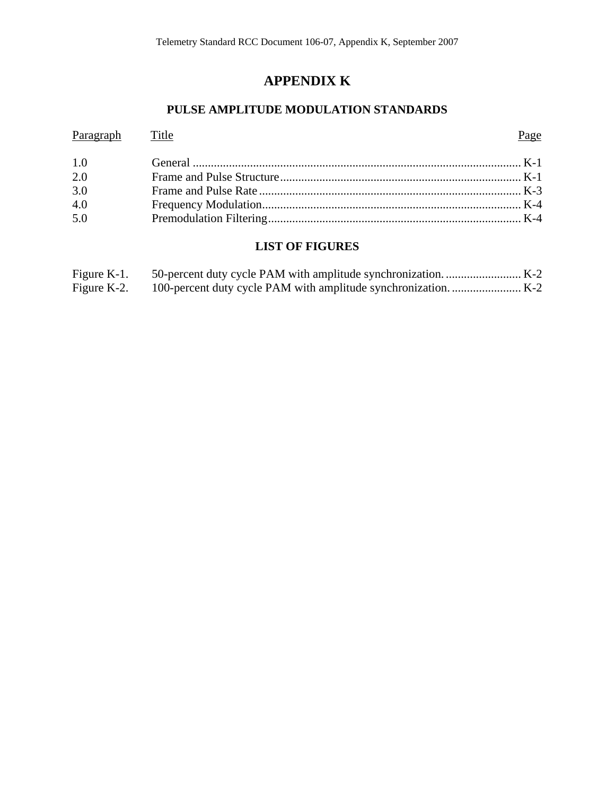## **APPENDIX K**

#### **PULSE AMPLITUDE MODULATION STANDARDS**

# Paragraph Title Page 1.0 General [............................................................................................................. K-1](#page-2-0)  [2.0 Frame and Pulse Structure................................................................................ K-1](#page-2-0)  3.0 Frame and Pulse Rate [....................................................................................... K-3](#page-4-0)  [4.0 Frequency Modulation...................................................................................... K-4](#page-5-0)  [5.0 Premodulation Filtering.................................................................................... K-4](#page-5-0)

#### **LIST OF FIGURES**

| Figure K-1. |  |  |
|-------------|--|--|
| Figure K-2. |  |  |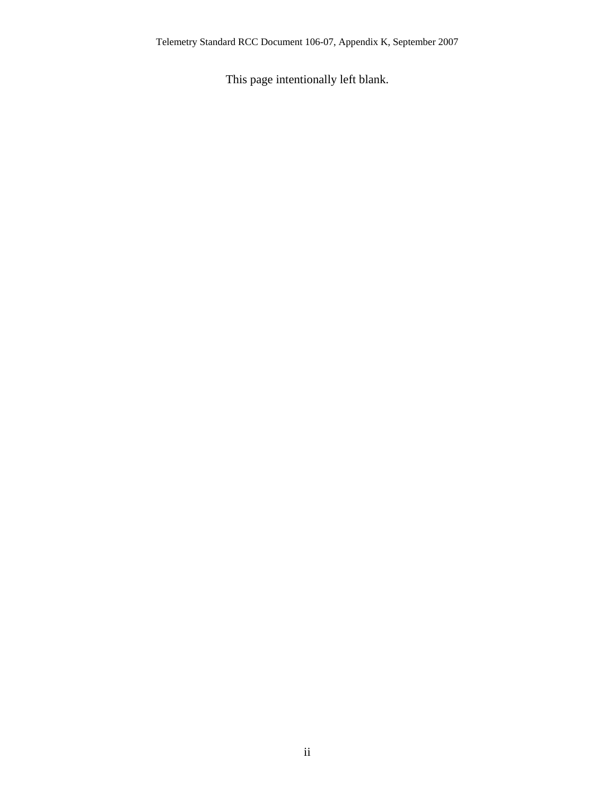This page intentionally left blank.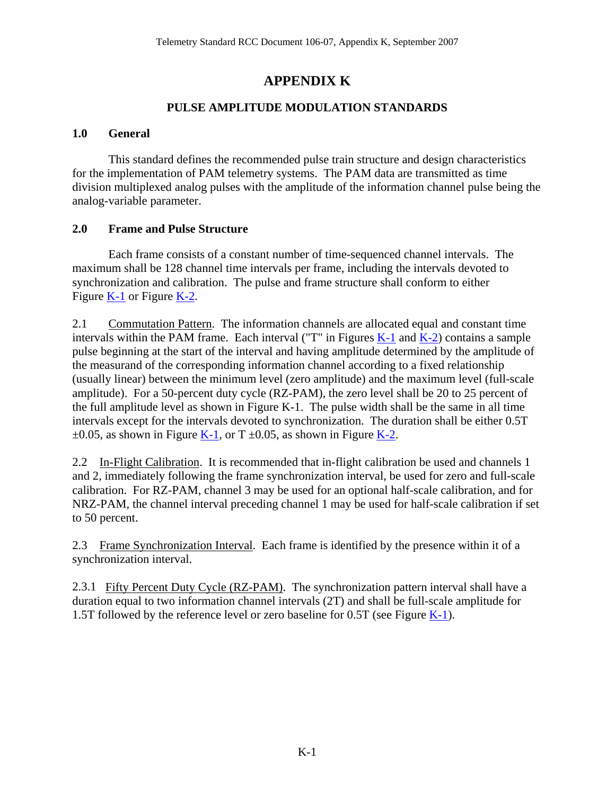# **APPENDIX K**

## **PULSE AMPLITUDE MODULATION STANDARDS**

#### <span id="page-2-0"></span>**1.0 General**

 This standard defines the recommended pulse train structure and design characteristics for the implementation of PAM telemetry systems. The PAM data are transmitted as time division multiplexed analog pulses with the amplitude of the information channel pulse being the analog-variable parameter.

#### **2.0 Frame and Pulse Structure**

 Each frame consists of a constant number of time-sequenced channel intervals. The maximum shall be 128 channel time intervals per frame, including the intervals devoted to synchronization and calibration. The pulse and frame structure shall conform to either Figure  $K-1$  or Figure  $K-2$ .

2.1 Commutation Pattern. The information channels are allocated equal and constant time intervals within the PAM frame. Each interval ("T" in Figures  $K-1$  and  $K-2$ ) contains a sample pulse beginning at the start of the interval and having amplitude determined by the amplitude of the measurand of the corresponding information channel according to a fixed relationship (usually linear) between the minimum level (zero amplitude) and the maximum level (full-scale amplitude). For a 50-percent duty cycle (RZ-PAM), the zero level shall be 20 to 25 percent of the full amplitude level as shown in Figure K-1. The pulse width shall be the same in all time intervals except for the intervals devoted to synchronization. The duration shall be either 0.5T  $\pm 0.05$ , as shown in Figure [K-1](#page-3-0), or T  $\pm 0.05$ , as shown in Figure K-2.

2.2 In-Flight Calibration. It is recommended that in-flight calibration be used and channels 1 and 2, immediately following the frame synchronization interval, be used for zero and full-scale calibration. For RZ-PAM, channel 3 may be used for an optional half-scale calibration, and for NRZ-PAM, the channel interval preceding channel 1 may be used for half-scale calibration if set to 50 percent.

2.3 Frame Synchronization Interval. Each frame is identified by the presence within it of a synchronization interval.

2.3.1 Fifty Percent Duty Cycle (RZ-PAM). The synchronization pattern interval shall have a duration equal to two information channel intervals (2T) and shall be full-scale amplitude for 1.5T followed by the reference level or zero baseline for  $0.5T$  (see Figure [K-1](#page-3-0)).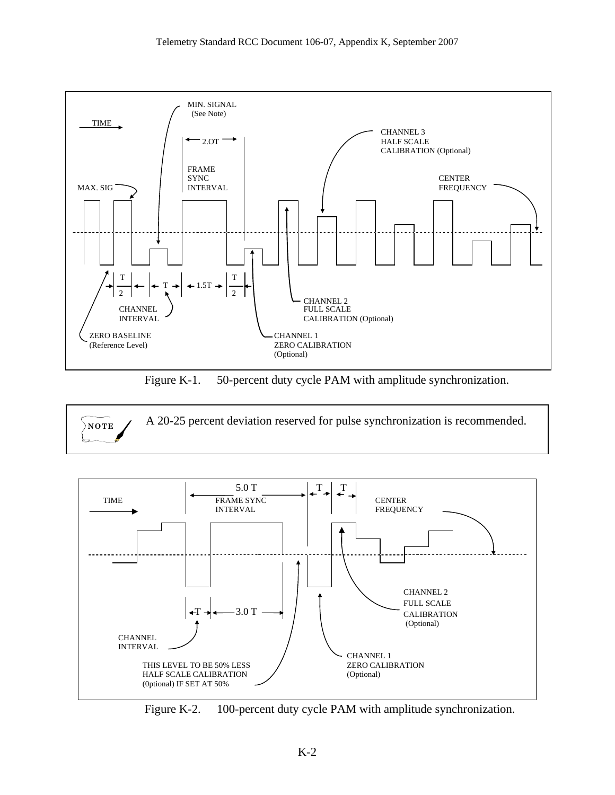<span id="page-3-0"></span>

Figure K-1. 50-percent duty cycle PAM with amplitude synchronization.





Figure K-2. 100-percent duty cycle PAM with amplitude synchronization.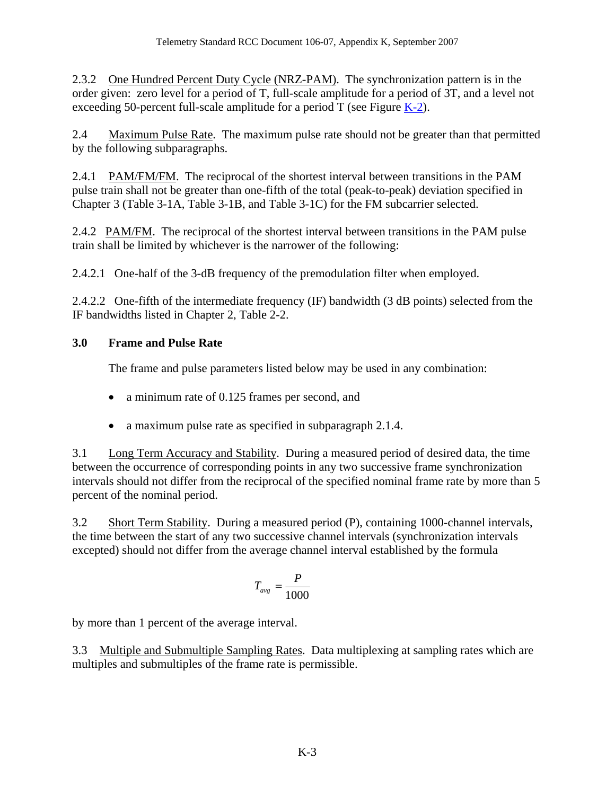<span id="page-4-0"></span>2.3.2 One Hundred Percent Duty Cycle (NRZ-PAM). The synchronization pattern is in the order given: zero level for a period of T, full-scale amplitude for a period of 3T, and a level not exceeding 50-percent full-scale amplitude for a period  $T$  (see Figure [K-2](#page-3-0)).

2.4 Maximum Pulse Rate. The maximum pulse rate should not be greater than that permitted by the following subparagraphs.

2.4.1 PAM/FM/FM. The reciprocal of the shortest interval between transitions in the PAM pulse train shall not be greater than one-fifth of the total (peak-to-peak) deviation specified in Chapter 3 (Table 3-1A, Table 3-1B, and Table 3-1C) for the FM subcarrier selected.

2.4.2 PAM/FM. The reciprocal of the shortest interval between transitions in the PAM pulse train shall be limited by whichever is the narrower of the following:

2.4.2.1 One-half of the 3-dB frequency of the premodulation filter when employed.

2.4.2.2 One-fifth of the intermediate frequency (IF) bandwidth (3 dB points) selected from the IF bandwidths listed in Chapter 2, Table 2-2.

## **3.0 Frame and Pulse Rate**

The frame and pulse parameters listed below may be used in any combination:

- a minimum rate of 0.125 frames per second, and
- a maximum pulse rate as specified in subparagraph 2.1.4.

3.1 Long Term Accuracy and Stability. During a measured period of desired data, the time between the occurrence of corresponding points in any two successive frame synchronization intervals should not differ from the reciprocal of the specified nominal frame rate by more than 5 percent of the nominal period.

3.2 Short Term Stability. During a measured period (P), containing 1000-channel intervals, the time between the start of any two successive channel intervals (synchronization intervals excepted) should not differ from the average channel interval established by the formula

$$
T_{avg} = \frac{P}{1000}
$$

by more than 1 percent of the average interval.

3.3 Multiple and Submultiple Sampling Rates. Data multiplexing at sampling rates which are multiples and submultiples of the frame rate is permissible.